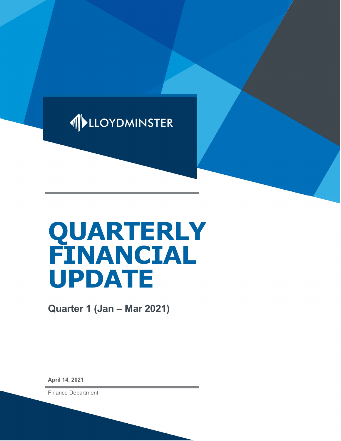

# QUARTERLY FINANCIAL UPDATE

Quarter 1 (Jan – Mar 2021)

April 14, 2021

Finance Department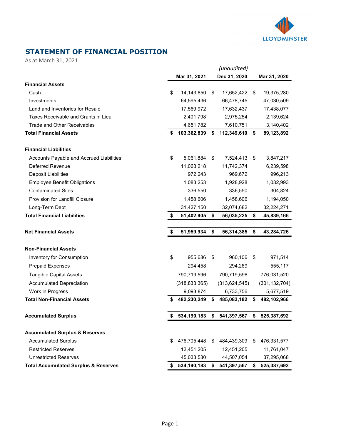

## STATEMENT OF FINANCIAL POSITION

As at March 31, 2021

|                                                 |     |                 |    | (unaudited)     |      |                 |
|-------------------------------------------------|-----|-----------------|----|-----------------|------|-----------------|
|                                                 |     | Mar 31, 2021    |    | Dec 31, 2020    |      | Mar 31, 2020    |
| <b>Financial Assets</b>                         |     |                 |    |                 |      |                 |
| Cash                                            | \$  | 14,143,850      | S. | 17,652,422      | - \$ | 19,375,280      |
| Investments                                     |     | 64,595,436      |    | 66,478,745      |      | 47,030,509      |
| Land and Inventories for Resale                 |     | 17,569,972      |    | 17,632,437      |      | 17,438,077      |
| Taxes Receivable and Grants in Lieu             |     | 2,401,798       |    | 2,975,254       |      | 2,139,624       |
| Trade and Other Receivables                     |     | 4,651,782       |    | 7,610,751       |      | 3,140,402       |
| <b>Total Financial Assets</b>                   | \$  | 103,362,839     | S. | 112,349,610     | \$   | 89,123,892      |
| <b>Financial Liabilities</b>                    |     |                 |    |                 |      |                 |
| Accounts Payable and Accrued Liabilities        | \$  | 5,061,884       | \$ | 7,524,413       | \$   | 3,847,217       |
| <b>Deferred Revenue</b>                         |     | 11,063,218      |    | 11,742,374      |      | 6,239,598       |
| <b>Deposit Liabilities</b>                      |     | 972,243         |    | 969,672         |      | 996,213         |
| <b>Employee Benefit Obligations</b>             |     | 1,083,253       |    | 1,928,928       |      | 1,032,993       |
| <b>Contaminated Sites</b>                       |     | 336,550         |    | 336,550         |      | 304,824         |
| Provision for Landfill Closure                  |     | 1,458,606       |    | 1,458,606       |      | 1,194,050       |
| Long-Term Debt                                  |     | 31,427,150      |    | 32,074,682      |      | 32,224,271      |
| <b>Total Financial Liabilities</b>              | \$  | 51,402,905      | \$ | 56,035,225      | \$   | 45,839,166      |
| <b>Net Financial Assets</b>                     | \$  | 51,959,934      | \$ | 56,314,385      | \$   | 43,284,726      |
|                                                 |     |                 |    |                 |      |                 |
| <b>Non-Financial Assets</b>                     |     |                 |    |                 |      |                 |
| Inventory for Consumption                       | \$  | 955,686         | \$ | 960,106         | \$   | 971,514         |
| <b>Prepaid Expenses</b>                         |     | 294,458         |    | 294,269         |      | 555,117         |
| <b>Tangible Capital Assets</b>                  |     | 790,719,596     |    | 790,719,596     |      | 776,031,520     |
| <b>Accumulated Depreciation</b>                 |     | (318, 833, 365) |    | (313, 624, 545) |      | (301, 132, 704) |
| Work in Progress                                |     | 9,093,874       |    | 6,733,756       |      | 5,677,519       |
| <b>Total Non-Financial Assets</b>               | \$  | 482,230,249     | \$ | 485,083,182     | \$   | 482,102,966     |
| <b>Accumulated Surplus</b>                      | \$  | 534,190,183     | \$ | 541,397,567     | \$   | 525,387,692     |
| <b>Accumulated Surplus &amp; Reserves</b>       |     |                 |    |                 |      |                 |
| <b>Accumulated Surplus</b>                      | \$. | 476,705,448     | \$ | 484,439,309     | S    | 476,331,577     |
| <b>Restricted Reserves</b>                      |     | 12,451,205      |    | 12,451,205      |      | 11,761,047      |
| <b>Unrestricted Reserves</b>                    |     | 45,033,530      |    | 44,507,054      |      | 37,295,068      |
| <b>Total Accumulated Surplus &amp; Reserves</b> | S.  | 534,190,183     | S. | 541,397,567     | \$   | 525,387,692     |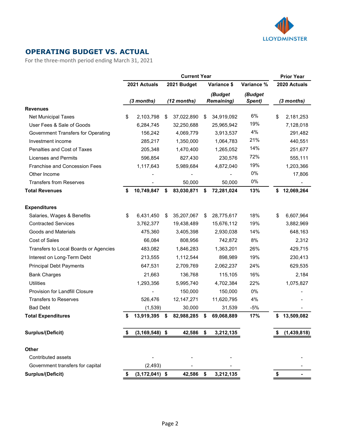

## OPERATING BUDGET VS. ACTUAL

For the three-month period ending March 31, 2021

|                                           | <b>Current Year</b> |                    |    |              |    |                   |            | <b>Prior Year</b> |              |
|-------------------------------------------|---------------------|--------------------|----|--------------|----|-------------------|------------|-------------------|--------------|
|                                           |                     | 2021 Actuals       |    | 2021 Budget  |    | Variance \$       | Variance % |                   | 2020 Actuals |
|                                           |                     |                    |    |              |    | (Budget           | (Budget    |                   |              |
|                                           |                     | (3 months)         |    | (12 months)  |    | <b>Remaining)</b> | Spent)     |                   | (3 months)   |
| <b>Revenues</b>                           |                     |                    |    |              |    |                   |            |                   |              |
| <b>Net Municipal Taxes</b>                | \$                  | 2,103,798          | \$ | 37,022,890   | \$ | 34,919,092        | 6%         | \$                | 2,181,253    |
| User Fees & Sale of Goods                 |                     | 6,284,745          |    | 32,250,688   |    | 25,965,942        | 19%        |                   | 7,128,018    |
| <b>Government Transfers for Operating</b> |                     | 156,242            |    | 4,069,779    |    | 3,913,537         | 4%         |                   | 291,482      |
| Investment income                         |                     | 285,217            |    | 1,350,000    |    | 1,064,783         | 21%        |                   | 440,551      |
| Penalties and Cost of Taxes               |                     | 205,348            |    | 1,470,400    |    | 1,265,052         | 14%        |                   | 251,677      |
| Licenses and Permits                      |                     | 596,854            |    | 827,430      |    | 230,576           | 72%        |                   | 555,111      |
| Franchise and Concession Fees             |                     | 1,117,643          |    | 5,989,684    |    | 4,872,040         | 19%        |                   | 1,203,366    |
| Other Income                              |                     |                    |    |              |    |                   | 0%         |                   | 17,806       |
| <b>Transfers from Reserves</b>            |                     |                    |    | 50,000       |    | 50,000            | 0%         |                   |              |
| <b>Total Revenues</b>                     | \$                  | 10,749,847         | \$ | 83,030,871   | \$ | 72,281,024        | 13%        | \$                | 12,069,264   |
| <b>Expenditures</b>                       |                     |                    |    |              |    |                   |            |                   |              |
| Salaries, Wages & Benefits                | \$                  | 6,431,450          | \$ | 35,207,067   | \$ | 28,775,617        | 18%        | \$                | 6,607,964    |
| <b>Contracted Services</b>                |                     | 3,762,377          |    | 19,438,489   |    | 15,676,112        | 19%        |                   | 3,882,969    |
| Goods and Materials                       |                     | 475,360            |    | 3,405,398    |    | 2,930,038         | 14%        |                   | 648,163      |
| Cost of Sales                             |                     | 66,084             |    | 808,956      |    | 742,872           | 8%         |                   | 2,312        |
| Transfers to Local Boards or Agencies     |                     | 483,082            |    | 1,846,283    |    | 1,363,201         | 26%        |                   | 429,715      |
| Interest on Long-Term Debt                |                     | 213,555            |    | 1,112,544    |    | 898,989           | 19%        |                   | 230,413      |
| <b>Principal Debt Payments</b>            |                     | 647,531            |    | 2,709,769    |    | 2,062,237         | 24%        |                   | 629,535      |
| <b>Bank Charges</b>                       |                     | 21,663             |    | 136,768      |    | 115,105           | 16%        |                   | 2,184        |
| <b>Utilities</b>                          |                     | 1,293,356          |    | 5,995,740    |    | 4,702,384         | 22%        |                   | 1,075,827    |
| Provision for Landfill Closure            |                     |                    |    | 150,000      |    | 150,000           | 0%         |                   |              |
| <b>Transfers to Reserves</b>              |                     | 526,476            |    | 12, 147, 271 |    | 11,620,795        | 4%         |                   |              |
| <b>Bad Debt</b>                           |                     | (1,539)            |    | 30,000       |    | 31,539            | $-5%$      |                   |              |
| <b>Total Expenditures</b>                 | \$                  | 13,919,395         | \$ | 82,988,285   | \$ | 69,068,889        | 17%        | \$                | 13,509,082   |
| <b>Surplus/(Deficit)</b>                  |                     | $(3, 169, 548)$ \$ |    | 42,586 \$    |    | 3,212,135         |            |                   | (1,439,818)  |
|                                           |                     |                    |    |              |    |                   |            |                   |              |
| <b>Other</b>                              |                     |                    |    |              |    |                   |            |                   |              |
| Contributed assets                        |                     |                    |    |              |    |                   |            |                   |              |
| Government transfers for capital          |                     | (2, 493)           |    |              |    |                   |            |                   |              |
| <b>Surplus/(Deficit)</b>                  | \$                  | $(3, 172, 041)$ \$ |    | 42,586       | \$ | 3,212,135         |            | \$                |              |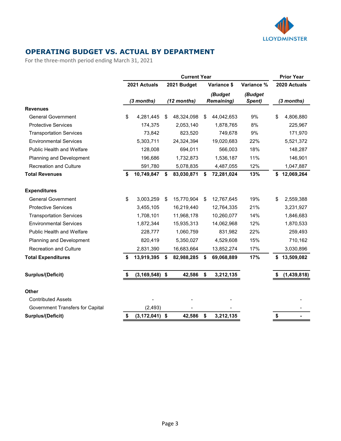

## OPERATING BUDGET VS. ACTUAL BY DEPARTMENT

For the three-month period ending March 31, 2021

|                                  | <b>Current Year</b> |                    |    |             |    |                              |                   | <b>Prior Year</b> |              |
|----------------------------------|---------------------|--------------------|----|-------------|----|------------------------------|-------------------|-------------------|--------------|
|                                  |                     | 2021 Actuals       |    | 2021 Budget |    | Variance \$                  | Variance %        |                   | 2020 Actuals |
|                                  |                     | (3 months)         |    | (12 months) |    | (Budget<br><b>Remaining)</b> | (Budget<br>Spent) |                   | (3 months)   |
| <b>Revenues</b>                  |                     |                    |    |             |    |                              |                   |                   |              |
| <b>General Government</b>        | \$                  | 4,281,445          | \$ | 48,324,098  | \$ | 44,042,653                   | 9%                | \$                | 4,806,880    |
| <b>Protective Services</b>       |                     | 174,375            |    | 2,053,140   |    | 1,878,765                    | 8%                |                   | 225,967      |
| <b>Transportation Services</b>   |                     | 73,842             |    | 823,520     |    | 749,678                      | 9%                |                   | 171,970      |
| <b>Environmental Services</b>    |                     | 5,303,711          |    | 24,324,394  |    | 19,020,683                   | 22%               |                   | 5,521,372    |
| <b>Public Health and Welfare</b> |                     | 128,008            |    | 694,011     |    | 566,003                      | 18%               |                   | 148,287      |
| Planning and Development         |                     | 196,686            |    | 1,732,873   |    | 1,536,187                    | 11%               |                   | 146,901      |
| <b>Recreation and Culture</b>    |                     | 591,780            |    | 5,078,835   |    | 4,487,055                    | 12%               |                   | 1,047,887    |
| <b>Total Revenues</b>            | \$                  | 10,749,847         | \$ | 83,030,871  | \$ | 72,281,024                   | 13%               |                   | \$12,069,264 |
| <b>Expenditures</b>              |                     |                    |    |             |    |                              |                   |                   |              |
| <b>General Government</b>        | \$                  | 3,003,259          | \$ | 15,770,904  | \$ | 12,767,645                   | 19%               | \$                | 2,559,388    |
| <b>Protective Services</b>       |                     | 3,455,105          |    | 16,219,440  |    | 12,764,335                   | 21%               |                   | 3,231,927    |
| <b>Transportation Services</b>   |                     | 1,708,101          |    | 11,968,178  |    | 10,260,077                   | 14%               |                   | 1,846,683    |
| <b>Environmental Services</b>    |                     | 1,872,344          |    | 15,935,313  |    | 14,062,968                   | 12%               |                   | 1,870,533    |
| Public Health and Welfare        |                     | 228,777            |    | 1,060,759   |    | 831,982                      | 22%               |                   | 259,493      |
| <b>Planning and Development</b>  |                     | 820,419            |    | 5,350,027   |    | 4,529,608                    | 15%               |                   | 710,162      |
| <b>Recreation and Culture</b>    |                     | 2,831,390          |    | 16,683,664  |    | 13,852,274                   | 17%               |                   | 3,030,896    |
| <b>Total Expenditures</b>        | \$                  | 13,919,395         | \$ | 82,988,285  | \$ | 69,068,889                   | 17%               | \$                | 13,509,082   |
| <b>Surplus/(Deficit)</b>         |                     | $(3, 169, 548)$ \$ |    | 42,586      | \$ | 3,212,135                    |                   |                   | (1,439,818)  |
|                                  |                     |                    |    |             |    |                              |                   |                   |              |
| <b>Other</b>                     |                     |                    |    |             |    |                              |                   |                   |              |
| <b>Contributed Assets</b>        |                     |                    |    |             |    |                              |                   |                   |              |
| Government Transfers for Capital |                     | (2, 493)           |    |             |    |                              |                   |                   |              |
| <b>Surplus/(Deficit)</b>         | \$                  | (3, 172, 041)      | \$ | 42,586      | \$ | 3,212,135                    |                   | \$                |              |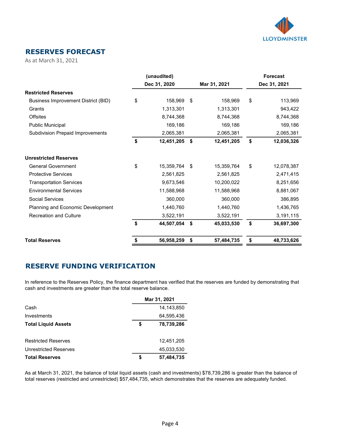

### RESERVES FORECAST

As at March 31, 2021

|                                         | (unaudited)      |                  | <b>Forecast</b>  |
|-----------------------------------------|------------------|------------------|------------------|
|                                         | Dec 31, 2020     | Mar 31, 2021     | Dec 31, 2021     |
| <b>Restricted Reserves</b>              |                  |                  |                  |
| Business Improvement District (BID)     | \$<br>158,969    | \$<br>158,969    | \$<br>113,969    |
| Grants                                  | 1,313,301        | 1,313,301        | 943,422          |
| <b>Offsites</b>                         | 8,744,368        | 8,744,368        | 8,744,368        |
| <b>Public Municipal</b>                 | 169,186          | 169,186          | 169,186          |
| <b>Subdivision Prepaid Improvements</b> | 2,065,381        | 2,065,381        | 2,065,381        |
|                                         | \$<br>12,451,205 | \$<br>12,451,205 | \$<br>12,036,326 |
| <b>Unrestricted Reserves</b>            |                  |                  |                  |
| <b>General Government</b>               | \$<br>15,359,764 | \$<br>15,359,764 | \$<br>12,078,387 |
| <b>Protective Services</b>              | 2,561,825        | 2,561,825        | 2,471,415        |
| <b>Transportation Services</b>          | 9,673,546        | 10,200,022       | 8,251,656        |
| <b>Environmental Services</b>           | 11,588,968       | 11,588,968       | 8,881,067        |
| <b>Social Services</b>                  | 360,000          | 360,000          | 386,895          |
| Planning and Economic Development       | 1,440,760        | 1,440,760        | 1,436,765        |
| <b>Recreation and Culture</b>           | 3,522,191        | 3,522,191        | 3,191,115        |
|                                         | \$<br>44,507,054 | \$<br>45,033,530 | \$<br>36,697,300 |
| <b>Total Reserves</b>                   | \$<br>56,958,259 | \$<br>57,484,735 | \$<br>48,733,626 |

#### RESERVE FUNDING VERIFICATION

In reference to the Reserves Policy, the finance department has verified that the reserves are funded by demonstrating that cash and investments are greater than the total reserve balance.

|                            | Mar 31, 2021 |            |  |  |  |  |
|----------------------------|--------------|------------|--|--|--|--|
| Cash                       |              | 14,143,850 |  |  |  |  |
| Investments                |              | 64.595.436 |  |  |  |  |
| <b>Total Liquid Assets</b> | \$           | 78,739,286 |  |  |  |  |
|                            |              |            |  |  |  |  |
| <b>Restricted Reserves</b> |              | 12,451,205 |  |  |  |  |
| Unrestricted Reserves      |              | 45,033,530 |  |  |  |  |
| <b>Total Reserves</b>      | \$           | 57,484,735 |  |  |  |  |

As at March 31, 2021, the balance of total liquid assets (cash and investments) \$78,739,286 is greater than the balance of total reserves (restricted and unrestricted) \$57,484,735, which demonstrates that the reserves are adequately funded.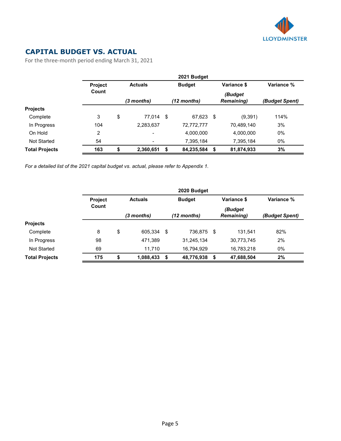

## CAPITAL BUDGET VS. ACTUAL

For the three-month period ending March 31, 2021

|                       |                |    | 2021 Budget    |    |                       |      |                              |                |  |
|-----------------------|----------------|----|----------------|----|-----------------------|------|------------------------------|----------------|--|
|                       | <b>Project</b> |    | <b>Actuals</b> |    | <b>Budget</b>         |      | Variance \$                  | Variance %     |  |
|                       | Count          |    | $(3$ months)   |    | $(12 \text{ months})$ |      | (Budget<br><b>Remaining)</b> | (Budget Spent) |  |
| <b>Projects</b>       |                |    |                |    |                       |      |                              |                |  |
| Complete              | 3              | \$ | 77.014 \$      |    | 67,623                | - \$ | (9, 391)                     | 114%           |  |
| In Progress           | 104            |    | 2,283,637      |    | 72,772,777            |      | 70,489,140                   | 3%             |  |
| On Hold               | $\overline{2}$ |    | $\blacksquare$ |    | 4,000,000             |      | 4,000,000                    | 0%             |  |
| Not Started           | 54             |    | $\blacksquare$ |    | 7,395,184             |      | 7,395,184                    | $0\%$          |  |
| <b>Total Projects</b> | 163            | \$ | 2,360,651      | \$ | 84,235,584            | - \$ | 81,874,933                   | 3%             |  |

For a detailed list of the 2021 capital budget vs. actual, please refer to Appendix 1.

|                       | 2020 Budget    |                |           |      |               |      |                              |                |  |  |
|-----------------------|----------------|----------------|-----------|------|---------------|------|------------------------------|----------------|--|--|
|                       | <b>Project</b> | <b>Actuals</b> |           |      | <b>Budget</b> |      | Variance \$                  | Variance %     |  |  |
|                       | Count          | (3 months)     |           |      | $(12$ months) |      | (Budget<br><b>Remaining)</b> | (Budget Spent) |  |  |
| <b>Projects</b>       |                |                |           |      |               |      |                              |                |  |  |
| Complete              | 8              | \$             | 605,334   | - \$ | 736,875 \$    |      | 131.541                      | 82%            |  |  |
| In Progress           | 98             |                | 471,389   |      | 31,245,134    |      | 30,773,745                   | 2%             |  |  |
| Not Started           | 69             |                | 11.710    |      | 16,794,929    |      | 16,783,218                   | 0%             |  |  |
| <b>Total Projects</b> | 175            | \$             | 1,088,433 | - \$ | 48,776,938    | - \$ | 47,688,504                   | 2%             |  |  |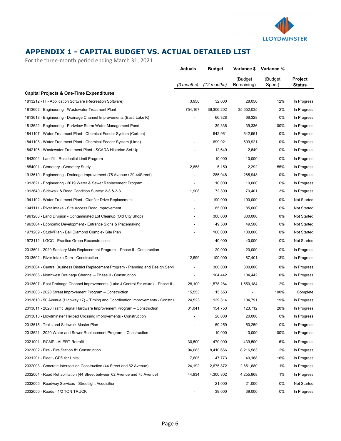

## APPENDIX 1 - CAPITAL BUDGET VS. ACTUAL DETAILED LIST

For the three-month period ending March 31, 2021

|                                                                                      | <b>Actuals</b> | <b>Budget</b> | Variance \$           | Variance %        |                                 |
|--------------------------------------------------------------------------------------|----------------|---------------|-----------------------|-------------------|---------------------------------|
|                                                                                      | (3 months)     | (12 months)   | (Budget<br>Remaining) | (Budget<br>Spent) | <b>Project</b><br><b>Status</b> |
| <b>Capital Projects &amp; One-Time Expenditures</b>                                  |                |               |                       |                   |                                 |
| 1813212 - IT - Application Software (Recreation Software)                            | 3,950          | 32,000        | 28,050                | 12%               | In Progress                     |
| 1813602 - Engineering - Wastewater Treatment Plant                                   | 754,167        | 36,306,202    | 35,552,035            | 2%                | In Progress                     |
| 1813618 - Engineering - Drainage Channel Improvements (East, Lake K)                 |                | 66,328        | 66,328                | 0%                | In Progress                     |
| 1813622 - Engineering - Parkview Storm Water Management Pond                         |                | 39,336        | 39,336                | 100%              | In Progress                     |
| 1841107 - Water Treatment Plant - Chemical Feeder System (Carbon)                    |                | 642,961       | 642,961               | 0%                | In Progress                     |
| 1841108 - Water Treatment Plant - Chemical Feeder System (Lime)                      |                | 699,921       | 699,921               | 0%                | In Progress                     |
| 1842106 - Wastewater Treatment Plant - SCADA Historian Set-Up                        |                | 12,649        | 12,649                | 0%                | In Progress                     |
| 1843004 - Landfill - Residential Limit Program                                       |                | 10,000        | 10,000                | 0%                | In Progress                     |
| 1854001 - Cemetery - Cemetery Study                                                  | 2,858          | 5,150         | 2,292                 | 55%               | In Progress                     |
| 1913610 - Engineering - Drainage Improvement (75 Avenue / 29-44 Street)              |                | 285,948       | 285,948               | 0%                | In Progress                     |
| 1913621 - Engineering - 2019 Water & Sewer Replacement Program                       |                | 10,000        | 10,000                | 0%                | In Progress                     |
| 1913640 - Sidewalk & Road Condition Survey: 2-3 & 3-3                                | 1,908          | 72,309        | 70,401                | 3%                | In Progress                     |
| 1941102 - Water Treatment Plant - Clarifier Drive Replacement                        |                | 190,000       | 190,000               | 0%                | <b>Not Started</b>              |
| 1941111 - River Intake - Site Access Road Improvement                                |                | 85,000        | 85,000                | 0%                | <b>Not Started</b>              |
| 1961208 - Land Division - Contaminated Lot Cleanup (Old City Shop)                   |                | 300,000       | 300,000               | 0%                | Not Started                     |
| 1963004 - Economic Development - Entrance Signs & Placemaking                        |                | 49,500        | 49,500                | 0%                | <b>Not Started</b>              |
| 1971209 - Study/Plan - Ball Diamond Complex Site Plan                                |                | 100,000       | 100,000               | 0%                | Not Started                     |
| 1973112 - LGCC - Practice Green Reconstruction                                       |                | 40,000        | 40,000                | 0%                | Not Started                     |
| 2013601 - 2020 Sanitary Main Replacement Program – Phase II - Construction           |                | 20,000        | 20,000                | 0%                | In Progress                     |
| 2013602 - River Intake Dam - Construction                                            | 12,599         | 100,000       | 87,401                | 13%               | In Progress                     |
| 2013604 - Central Business District Replacement Program - Planning and Design Servi  |                | 300,000       | 300,000               | 0%                | In Progress                     |
| 2013606 - Northwest Drainage Channel - Phase II - Construction                       |                | 104,442       | 104,442               | 0%                | In Progress                     |
| 2013607 - East Drainage Channel Improvements (Lake J Control Structure) - Phase II - | 28,100         | 1,578,284     | 1,550,184             | 2%                | In Progress                     |
| 2013608 - 2020 Street Improvement Program - Construction                             | 15,553         | 15,553        |                       | 100%              | Complete                        |
| 2013610 - 50 Avenue (Highway 17) – Timing and Coordination Improvements - Construe   | 24,523         | 129,314       | 104,791               | 19%               | In Progress                     |
| 2013611 - 2020 Traffic Signal Hardware Improvement Program – Construction            | 31,041         | 154,753       | 123,712               | 20%               | In Progress                     |
| 2013613 - Lloydminster Helipad Crossing Improvements - Construction                  |                | 20,000        | 20,000                | 0%                | In Progress                     |
| 2013615 - Trails and Sidewalk Master Plan                                            |                | 50,259        | 50,259                | 0%                | In Progress                     |
| 2013621 - 2020 Water and Sewer Replacement Program - Construction                    |                | 10,000        | 10,000                | 100%              | In Progress                     |
| 2021001 - RCMP - ALERT Retrofit                                                      | 30,500         | 470,000       | 439,500               | 6%                | In Progress                     |
| 2023002 - Fire - Fire Station #1 Construction                                        | 194,083        | 8,410,666     | 8,216,583             | 2%                | In Progress                     |
| 2031201 - Fleet - GPS for Units                                                      | 7,605          | 47,773        | 40,168                | 16%               | In Progress                     |
| 2032003 - Concrete Intersection Construction (44 Street and 62 Avenue)               | 24,192         | 2,675,872     | 2,651,680             | 1%                | In Progress                     |
| 2032004 - Road Rehabilitation (44 Street between 62 Avenue and 75 Avenue)            | 44,934         | 4,300,802     | 4,255,868             | 1%                | In Progress                     |
| 2032005 - Roadway Services - Streetlight Acquisition                                 |                | 21,000        | 21,000                | 0%                | Not Started                     |
| 2032050 - Roads - 1/2 TON TRUCK                                                      |                | 39,000        | 39,000                | 0%                | In Progress                     |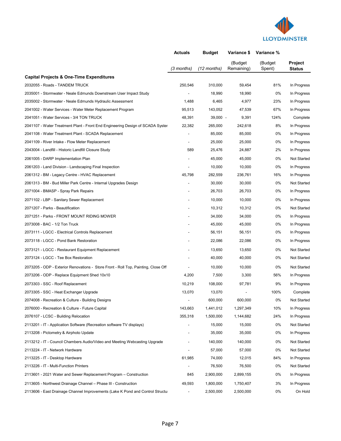

|                                                                                    | <b>Actuals</b>           | <b>Budget</b> | Variance \$           | Variance %        |                          |
|------------------------------------------------------------------------------------|--------------------------|---------------|-----------------------|-------------------|--------------------------|
|                                                                                    | (3 months)               | $(12$ months) | (Budget<br>Remaining) | (Budget<br>Spent) | Project<br><b>Status</b> |
| <b>Capital Projects &amp; One-Time Expenditures</b>                                |                          |               |                       |                   |                          |
| 2032055 - Roads - TANDEM TRUCK                                                     | 250,546                  | 310,000       | 59,454                | 81%               | In Progress              |
| 2035001 - Stormwater - Neale Edmunds Downstream User Impact Study                  | $\overline{\phantom{a}}$ | 18,990        | 18,990                | 0%                | In Progress              |
| 2035002 - Stormwater - Neale Edmunds Hydraulic Assessment                          | 1,488                    | 6,465         | 4,977                 | 23%               | In Progress              |
| 2041002 - Water Services - Water Meter Replacement Program                         | 95,513                   | 143,052       | 47,539                | 67%               | In Progress              |
| 2041051 - Water Services - 3/4 TON TRUCK                                           | 48,391                   | $39,000 -$    | 9,391                 | 124%              | Complete                 |
| 2041107 - Water Treatment Plant - Front End Engineering Design of SCADA Syster     | 22,382                   | 265,000       | 242,618               | 8%                | In Progress              |
| 2041108 - Water Treatment Plant - SCADA Replacement                                |                          | 85,000        | 85,000                | 0%                | In Progress              |
| 2041109 - River Intake - Flow Meter Replacement                                    |                          | 25,000        | 25,000                | 0%                | In Progress              |
| 2043004 - Landfill - Historic Landfill Closure Study                               | 589                      | 25,476        | 24,887                | 2%                | In Progress              |
| 2061005 - DARP Implementation Plan                                                 |                          | 45.000        | 45,000                | 0%                | Not Started              |
| 2061203 - Land Division - Landscaping Final Inspection                             |                          | 10,000        | 10,000                | 0%                | In Progress              |
| 2061312 - BM - Legacy Centre - HVAC Replacement                                    | 45,798                   | 282,559       | 236,761               | 16%               | In Progress              |
| 2061313 - BM - Bud Miller Park Centre - Internal Upgrades Design                   |                          | 30,000        | 30,000                | 0%                | <b>Not Started</b>       |
| 2071004 - BMASP - Spray Park Repairs                                               |                          | 26,703        | 26,703                | 0%                | In Progress              |
| 2071102 - LBP - Sanitary Sewer Replacement                                         |                          | 10,000        | 10,000                | 0%                | In Progress              |
| 2071207 - Parks - Beautification                                                   |                          | 10,312        | 10,312                | 0%                | Not Started              |
| 2071251 - Parks - FRONT MOUNT RIDING MOWER                                         |                          | 34,000        | 34,000                | 0%                | In Progress              |
| 2073008 - BAC - 1/2 Ton Truck                                                      |                          | 45,000        | 45,000                | 0%                | In Progress              |
| 2073111 - LGCC - Electrical Controls Replacement                                   |                          | 56,151        | 56,151                | 0%                | In Progress              |
| 2073118 - LGCC - Pond Bank Restoration                                             |                          | 22,086        | 22,086                | 0%                | In Progress              |
| 2073121 - LGCC - Restaurant Equipment Replacement                                  |                          | 13,650        | 13,650                | 0%                | Not Started              |
| 2073124 - LGCC - Tee Box Restoration                                               |                          | 40,000        | 40,000                | 0%                | Not Started              |
| 2073205 - ODP - Exterior Renovations - Store Front - Roll Top, Painting, Close Off |                          | 10,000        | 10,000                | 0%                | Not Started              |
| 2073206 - ODP - Replace Equipment Shed 10x10                                       | 4,200                    | 7,500         | 3,300                 | 56%               | In Progress              |
| 2073303 - SSC - Roof Replacement                                                   | 10,219                   | 108,000       | 97,781                | 9%                | In Progress              |
| 2073305 - SSC - Heat Exchanger Upgrade                                             | 13,070                   | 13,070        |                       | 100%              | Complete                 |
| 2074008 - Recreation & Culture - Building Designs                                  |                          | 600,000       | 600,000               | 0%                | Not Started              |
| 2076000 - Recreation & Culture - Future Capital                                    | 143,663                  | 1,441,012     | 1,297,349             | 10%               | In Progress              |
| 2076107 - LCSC - Building Relocation                                               | 355,318                  | 1,500,000     | 1,144,682             | 24%               | In Progress              |
| 2113201 - IT - Application Software (Recreation software TV displays)              |                          | 15,000        | 15,000                | 0%                | Not Started              |
| 2113208 - Pictometry & Airphoto Update                                             |                          | 35,000        | 35,000                | 0%                | In Progress              |
| 2113212 - IT - Council Chambers Audio/Video and Meeting Webcasting Upgrade         |                          | 140,000       | 140,000               | 0%                | Not Started              |
| 2113224 - IT - Network Hardware                                                    |                          | 57,000        | 57,000                | 0%                | Not Started              |
| 2113225 - IT - Desktop Hardware                                                    | 61,985                   | 74,000        | 12,015                | 84%               | In Progress              |
| 2113226 - IT - Multi-Function Printers                                             |                          | 76,500        | 76,500                | 0%                | Not Started              |
| 2113601 - 2021 Water and Sewer Replacement Program – Construction                  | 845                      | 2,900,000     | 2,899,155             | 0%                | In Progress              |
| 2113605 - Northwest Drainage Channel - Phase III - Construction                    | 49,593                   | 1,800,000     | 1,750,407             | 3%                | In Progress              |
| 2113606 - East Drainage Channel Improvements (Lake K Pond and Control Structu      | ۰                        | 2,500,000     | 2,500,000             | 0%                | On Hold                  |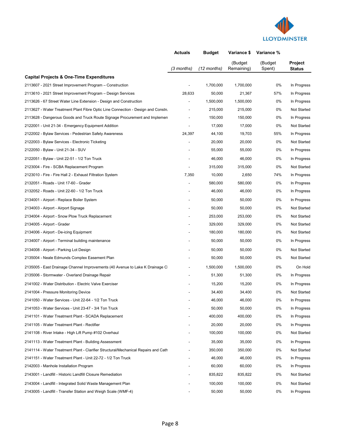

|                                                                                    | <b>Actuals</b> | <b>Budget</b> | Variance \$           | Variance %        |                          |
|------------------------------------------------------------------------------------|----------------|---------------|-----------------------|-------------------|--------------------------|
|                                                                                    | (3 months)     | (12 months)   | (Budget<br>Remaining) | (Budget<br>Spent) | Project<br><b>Status</b> |
| <b>Capital Projects &amp; One-Time Expenditures</b>                                |                |               |                       |                   |                          |
| 2113607 - 2021 Street Improvement Program - Construction                           |                | 1,700,000     | 1,700,000             | 0%                | In Progress              |
| 2113610 - 2021 Street Improvement Program - Design Services                        | 28,633         | 50,000        | 21,367                | 57%               | In Progress              |
| 2113626 - 67 Street Water Line Extension - Design and Construction                 |                | 1,500,000     | 1,500,000             | 0%                | In Progress              |
| 2113627 - Water Treatment Plant Fibre Optic Line Connection - Design and Constru   |                | 215,000       | 215,000               | 0%                | <b>Not Started</b>       |
| 2113628 - Dangerous Goods and Truck Route Signage Procurement and Implemen         |                | 150,000       | 150,000               | 0%                | In Progress              |
| 2122001 - Unit 21-34 - Emergency Equipment Addition                                |                | 17,000        | 17,000                | 0%                | Not Started              |
| 2122002 - Bylaw Services - Pedestrian Safety Awareness                             | 24,397         | 44,100        | 19,703                | 55%               | In Progress              |
| 2122003 - Bylaw Services - Electronic Ticketing                                    |                | 20,000        | 20,000                | 0%                | Not Started              |
| 2122050 - Bylaw - Unit 21-34 - SUV                                                 |                | 55,000        | 55,000                | 0%                | In Progress              |
| 2122051 - Bylaw - Unit 22-51 - 1/2 Ton Truck                                       |                | 46,000        | 46.000                | 0%                | In Progress              |
| 2123004 - Fire - SCBA Replacement Program                                          |                | 315,000       | 315,000               | 0%                | Not Started              |
| 2123010 - Fire - Fire Hall 2 - Exhaust Filtration System                           | 7,350          | 10,000        | 2,650                 | 74%               | In Progress              |
| 2132051 - Roads - Unit 17-60 - Grader                                              |                | 580,000       | 580,000               | 0%                | In Progress              |
| 2132052 - Roads - Unit 22-60 - 1/2 Ton Truck                                       |                | 46,000        | 46,000                | 0%                | In Progress              |
| 2134001 - Airport - Replace Boiler System                                          |                | 50,000        | 50,000                | 0%                | In Progress              |
| 2134003 - Airport - Airport Signage                                                |                | 50,000        | 50,000                | 0%                | <b>Not Started</b>       |
| 2134004 - Airport - Snow Plow Truck Replacement                                    |                | 253,000       | 253,000               | 0%                | Not Started              |
| 2134005 - Airport - Grader                                                         |                | 329,000       | 329,000               | 0%                | Not Started              |
| 2134006 - Airport - De-icing Equipment                                             |                | 180,000       | 180,000               | 0%                | Not Started              |
| 2134007 - Airport - Terminal building maintenance                                  |                | 50,000        | 50,000                | 0%                | In Progress              |
| 2134008 - Airport - Parking Lot Design                                             |                | 50,000        | 50,000                | 0%                | <b>Not Started</b>       |
| 2135004 - Neale Edmunds Complex Easement Plan                                      |                | 50,000        | 50,000                | 0%                | Not Started              |
| 2135005 - East Drainage Channel Improvements (40 Avenue to Lake K Drainage C       |                | 1,500,000     | 1,500,000             | 0%                | On Hold                  |
| 2135006 - Stormwater - Overland Drainage Repair                                    |                | 51,300        | 51,300                | 0%                | In Progress              |
| 2141002 - Water Distribution - Electric Valve Exerciser                            |                | 15,200        | 15,200                | 0%                | In Progress              |
| 2141004 - Pressure Monitoring Device                                               |                | 34,400        | 34,400                | 0%                | Not Started              |
| 2141050 - Water Services - Unit 22-64 - 1/2 Ton Truck                              |                | 46,000        | 46,000                | 0%                | In Progress              |
| 2141053 - Water Services - Unit 23-47 - 3/4 Ton Truck                              |                | 50,000        | 50,000                | 0%                | In Progress              |
| 2141101 - Water Treatment Plant - SCADA Replacement                                |                | 400,000       | 400,000               | 0%                | In Progress              |
| 2141105 - Water Treatment Plant - Rectifier                                        |                | 20,000        | 20,000                | 0%                | In Progress              |
| 2141108 - River Intake - High Lift Pump #102 Overhaul                              |                | 100,000       | 100,000               | 0%                | Not Started              |
| 2141113 - Water Treatment Plant - Building Assessment                              |                | 35,000        | 35,000                | 0%                | In Progress              |
| 2141114 - Water Treatment Plant - Clarifier Structural/Mechanical Repairs and Cath |                | 350,000       | 350,000               | 0%                | Not Started              |
| 2141151 - Water Treatment Plant - Unit 22-72 - 1/2 Ton Truck                       |                | 46,000        | 46,000                | 0%                | In Progress              |
| 2142003 - Manhole Installation Program                                             |                | 60,000        | 60,000                | 0%                | In Progress              |
| 2143001 - Landfill - Historic Landfill Closure Remediation                         |                | 835,822       | 835,822               | 0%                | Not Started              |
| 2143004 - Landfill - Integrated Solid Waste Management Plan                        |                | 100,000       | 100,000               | 0%                | Not Started              |
| 2143005 - Landfill - Transfer Station and Weigh Scale (WMF-4)                      |                | 50,000        | 50,000                | 0%                | In Progress              |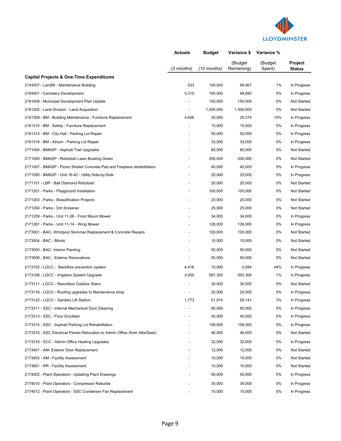

| Project<br>(Budget<br>(Budget<br>Remaining)<br>$(12$ months)<br>Spent)<br>(3 months)<br><b>Status</b><br><b>Capital Projects &amp; One-Time Expenditures</b><br>533<br>1%<br>2143007 - Landfill - Maintenance Building<br>100,000<br>99,467<br>2154001 - Cemetery Development<br>5,310<br>94,690<br>5%<br>100,000<br>150,000<br>150,000<br>0%<br>2161008 - Municipal Development Plan Update<br>1,500,000<br>1,500,000<br>0%<br>2161202 - Land Division - Land Acquisition<br>4,626<br>30,000<br>25,374<br>15%<br>2161309 - BM - Building Maintenance - Furniture Replacement<br>15,000<br>15,000<br>0%<br>2161310 - BM - Safety - Furniture Replacement<br>50,000<br>50,000<br>0%<br>2161315 - BM - City Hall - Parking Lot Repair<br>33,000<br>33,000<br>0%<br>2161316 - BM - Atrium - Parking Lot Repair<br>80,000<br>80,000<br>0%<br>2171004 - BMASP - Asphalt Trail Upgrades | Actuals | <b>Budget</b> | Variance \$ | Variance % |                            |
|-----------------------------------------------------------------------------------------------------------------------------------------------------------------------------------------------------------------------------------------------------------------------------------------------------------------------------------------------------------------------------------------------------------------------------------------------------------------------------------------------------------------------------------------------------------------------------------------------------------------------------------------------------------------------------------------------------------------------------------------------------------------------------------------------------------------------------------------------------------------------------------|---------|---------------|-------------|------------|----------------------------|
|                                                                                                                                                                                                                                                                                                                                                                                                                                                                                                                                                                                                                                                                                                                                                                                                                                                                                   |         |               |             |            |                            |
|                                                                                                                                                                                                                                                                                                                                                                                                                                                                                                                                                                                                                                                                                                                                                                                                                                                                                   |         |               |             |            |                            |
|                                                                                                                                                                                                                                                                                                                                                                                                                                                                                                                                                                                                                                                                                                                                                                                                                                                                                   |         |               |             |            | In Progress                |
|                                                                                                                                                                                                                                                                                                                                                                                                                                                                                                                                                                                                                                                                                                                                                                                                                                                                                   |         |               |             |            | In Progress                |
|                                                                                                                                                                                                                                                                                                                                                                                                                                                                                                                                                                                                                                                                                                                                                                                                                                                                                   |         |               |             |            | <b>Not Started</b>         |
|                                                                                                                                                                                                                                                                                                                                                                                                                                                                                                                                                                                                                                                                                                                                                                                                                                                                                   |         |               |             |            | <b>Not Started</b>         |
|                                                                                                                                                                                                                                                                                                                                                                                                                                                                                                                                                                                                                                                                                                                                                                                                                                                                                   |         |               |             |            | In Progress                |
|                                                                                                                                                                                                                                                                                                                                                                                                                                                                                                                                                                                                                                                                                                                                                                                                                                                                                   |         |               |             |            | In Progress                |
|                                                                                                                                                                                                                                                                                                                                                                                                                                                                                                                                                                                                                                                                                                                                                                                                                                                                                   |         |               |             |            | In Progress                |
|                                                                                                                                                                                                                                                                                                                                                                                                                                                                                                                                                                                                                                                                                                                                                                                                                                                                                   |         |               |             |            | In Progress                |
|                                                                                                                                                                                                                                                                                                                                                                                                                                                                                                                                                                                                                                                                                                                                                                                                                                                                                   |         |               |             |            | Not Started                |
| 0%<br>2171005 - BMASP - Refurbish Lawn Bowling Green<br>200,000<br>200,000                                                                                                                                                                                                                                                                                                                                                                                                                                                                                                                                                                                                                                                                                                                                                                                                        |         |               |             |            | <b>Not Started</b>         |
| 40,000<br>40,000<br>0%<br>2171007 - BMASP - Picnic Shelter Concrete Pad and Fireplace rehabilitation                                                                                                                                                                                                                                                                                                                                                                                                                                                                                                                                                                                                                                                                                                                                                                              |         |               |             |            | In Progress                |
| 25,000<br>25,000<br>0%<br>2171050 - BMASP - Unit 18-42 - Utility Side-by-Side                                                                                                                                                                                                                                                                                                                                                                                                                                                                                                                                                                                                                                                                                                                                                                                                     |         |               |             |            | In Progress                |
| 20,000<br>20,000<br>0%<br>2171101 - LBP - Ball Diamond Refurbish                                                                                                                                                                                                                                                                                                                                                                                                                                                                                                                                                                                                                                                                                                                                                                                                                  |         |               |             |            | <b>Not Started</b>         |
| 100,000<br>100,000<br>0%<br>2171201 - Parks - Playground Installation                                                                                                                                                                                                                                                                                                                                                                                                                                                                                                                                                                                                                                                                                                                                                                                                             |         |               |             |            | Not Started                |
| 2171203 - Parks - Beautification Projects<br>20,000<br>20,000<br>0%                                                                                                                                                                                                                                                                                                                                                                                                                                                                                                                                                                                                                                                                                                                                                                                                               |         |               |             |            | Not Started                |
| 2171254 - Parks - Dirt Screener<br>25,000<br>25,000<br>0%                                                                                                                                                                                                                                                                                                                                                                                                                                                                                                                                                                                                                                                                                                                                                                                                                         |         |               |             |            | <b>Not Started</b>         |
| 2171259 - Parks - Unit 11-26 - Front Mount Mower<br>34,000<br>34,000<br>0%                                                                                                                                                                                                                                                                                                                                                                                                                                                                                                                                                                                                                                                                                                                                                                                                        |         |               |             |            | In Progress                |
| 126,000<br>126,000<br>0%<br>2171261 - Parks - Unit 11-14 - Wing Mower                                                                                                                                                                                                                                                                                                                                                                                                                                                                                                                                                                                                                                                                                                                                                                                                             |         |               |             |            | In Progress                |
| 100,000<br>100,000<br>0%<br>2173001 - BAC- Whirlpool Skimmer Replacement & Concrete Repairs                                                                                                                                                                                                                                                                                                                                                                                                                                                                                                                                                                                                                                                                                                                                                                                       |         |               |             |            | Not Started                |
| 2173004 - BAC - Blinds<br>10,000<br>10,000<br>0%                                                                                                                                                                                                                                                                                                                                                                                                                                                                                                                                                                                                                                                                                                                                                                                                                                  |         |               |             |            | <b>Not Started</b>         |
| 50,000<br>50,000<br>0%<br>2173005 - BAC- Interior Painting                                                                                                                                                                                                                                                                                                                                                                                                                                                                                                                                                                                                                                                                                                                                                                                                                        |         |               |             |            | <b>Not Started</b>         |
| 2173006 - BAC - Exterior Renovations<br>0%<br>50,000<br>50,000                                                                                                                                                                                                                                                                                                                                                                                                                                                                                                                                                                                                                                                                                                                                                                                                                    |         |               |             |            | Not Started                |
| 4,416<br>10,000<br>5,584<br>44%<br>2173102 - LGCC - Backflow prevention system                                                                                                                                                                                                                                                                                                                                                                                                                                                                                                                                                                                                                                                                                                                                                                                                    |         |               |             |            | In Progress                |
| 4,000<br>597,300<br>1%<br>2173106 - LGCC - Irrigation System Upgrade<br>593,300                                                                                                                                                                                                                                                                                                                                                                                                                                                                                                                                                                                                                                                                                                                                                                                                   |         |               |             |            | In Progress                |
| 0%<br>2173111 - LGCC - Resurface Outdoor Stairs<br>30,000<br>30,000                                                                                                                                                                                                                                                                                                                                                                                                                                                                                                                                                                                                                                                                                                                                                                                                               |         |               |             |            | <b>Not Started</b>         |
| 20,000<br>20,000<br>0%<br>2173116 - LGCC - Roofing upgrades to Maintenance shop                                                                                                                                                                                                                                                                                                                                                                                                                                                                                                                                                                                                                                                                                                                                                                                                   |         |               |             |            | In Progress                |
| 1,773<br>2173122 - LGCC - Sanitary Lift Station<br>51,914<br>50,141<br>3%                                                                                                                                                                                                                                                                                                                                                                                                                                                                                                                                                                                                                                                                                                                                                                                                         |         |               |             |            | In Progress                |
| 90,000<br>0%<br>2173311 - SSC - Internal Mechanical Duct Cleaning<br>90,000                                                                                                                                                                                                                                                                                                                                                                                                                                                                                                                                                                                                                                                                                                                                                                                                       |         |               |             |            | In Progress                |
| 2173312 - SSC - Floor Scrubber<br>40,000<br>40,000<br>0%                                                                                                                                                                                                                                                                                                                                                                                                                                                                                                                                                                                                                                                                                                                                                                                                                          |         |               |             |            | In Progress                |
| 156,000<br>156,000<br>0%<br>2173314 - SSC - Asphalt Parking Lot Rehabilitation                                                                                                                                                                                                                                                                                                                                                                                                                                                                                                                                                                                                                                                                                                                                                                                                    |         |               |             |            | In Progress                |
| 2173315 - SSC Electrical Panels Relocation to Admin Office (from Alta/Sask)<br>46,000<br>46,000<br>0%                                                                                                                                                                                                                                                                                                                                                                                                                                                                                                                                                                                                                                                                                                                                                                             |         |               |             |            | Not Started                |
| 32,000<br>32,000<br>0%<br>2173316 - SCC - Admin Office Heating Upgrades                                                                                                                                                                                                                                                                                                                                                                                                                                                                                                                                                                                                                                                                                                                                                                                                           |         |               |             |            | In Progress                |
| 12,000<br>12,000<br>0%<br>2173401 - AM- Exterior Door Replacement                                                                                                                                                                                                                                                                                                                                                                                                                                                                                                                                                                                                                                                                                                                                                                                                                 |         |               |             |            | Not Started                |
| 10,000<br>10,000<br>0%<br>2173402 - AM - Facility Assessment                                                                                                                                                                                                                                                                                                                                                                                                                                                                                                                                                                                                                                                                                                                                                                                                                      |         |               |             |            | Not Started                |
| 10,000<br>10,000<br>0%<br>2173601 - RR - Facility Assessment                                                                                                                                                                                                                                                                                                                                                                                                                                                                                                                                                                                                                                                                                                                                                                                                                      |         |               |             |            | Not Started                |
| 0%<br>2174002 - Plant Operators - Updating Plant Drawings<br>50,000<br>50,000                                                                                                                                                                                                                                                                                                                                                                                                                                                                                                                                                                                                                                                                                                                                                                                                     |         |               |             |            | In Progress                |
| 2174010 - Plant Operators - Compressor Rebuilds<br>35,000<br>35,000<br>0%                                                                                                                                                                                                                                                                                                                                                                                                                                                                                                                                                                                                                                                                                                                                                                                                         |         |               |             |            |                            |
| 2174012 - Plant Operators - SSC Condenser Fan Replacement<br>15,000<br>15,000<br>0%                                                                                                                                                                                                                                                                                                                                                                                                                                                                                                                                                                                                                                                                                                                                                                                               |         |               |             |            | In Progress<br>In Progress |